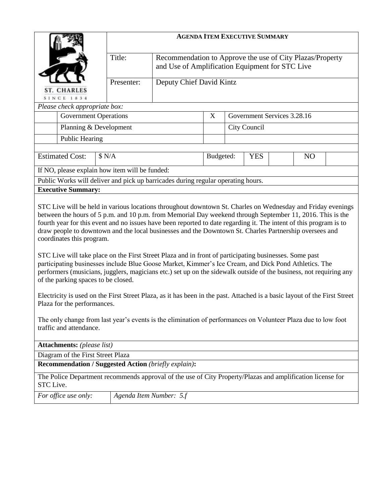|                                                                                                                                                                                                                                                                                                                                                                                                                                                                                                                                                                                                                                                                                                                                                                                                                                                                                                                                                                                                                                                                                                                                                                              | <b>AGENDA ITEM EXECUTIVE SUMMARY</b> |                                                                                                              |           |                              |  |  |  |  |
|------------------------------------------------------------------------------------------------------------------------------------------------------------------------------------------------------------------------------------------------------------------------------------------------------------------------------------------------------------------------------------------------------------------------------------------------------------------------------------------------------------------------------------------------------------------------------------------------------------------------------------------------------------------------------------------------------------------------------------------------------------------------------------------------------------------------------------------------------------------------------------------------------------------------------------------------------------------------------------------------------------------------------------------------------------------------------------------------------------------------------------------------------------------------------|--------------------------------------|--------------------------------------------------------------------------------------------------------------|-----------|------------------------------|--|--|--|--|
|                                                                                                                                                                                                                                                                                                                                                                                                                                                                                                                                                                                                                                                                                                                                                                                                                                                                                                                                                                                                                                                                                                                                                                              | Title:                               | Recommendation to Approve the use of City Plazas/Property<br>and Use of Amplification Equipment for STC Live |           |                              |  |  |  |  |
| <b>CHARLES</b><br><b>SINCE 1834</b>                                                                                                                                                                                                                                                                                                                                                                                                                                                                                                                                                                                                                                                                                                                                                                                                                                                                                                                                                                                                                                                                                                                                          | Presenter:                           | Deputy Chief David Kintz                                                                                     |           |                              |  |  |  |  |
| Please check appropriate box:                                                                                                                                                                                                                                                                                                                                                                                                                                                                                                                                                                                                                                                                                                                                                                                                                                                                                                                                                                                                                                                                                                                                                |                                      |                                                                                                              |           |                              |  |  |  |  |
| <b>Government Operations</b>                                                                                                                                                                                                                                                                                                                                                                                                                                                                                                                                                                                                                                                                                                                                                                                                                                                                                                                                                                                                                                                                                                                                                 |                                      |                                                                                                              | X         | Government Services 3.28.16  |  |  |  |  |
| Planning & Development                                                                                                                                                                                                                                                                                                                                                                                                                                                                                                                                                                                                                                                                                                                                                                                                                                                                                                                                                                                                                                                                                                                                                       |                                      |                                                                                                              |           | City Council                 |  |  |  |  |
| <b>Public Hearing</b>                                                                                                                                                                                                                                                                                                                                                                                                                                                                                                                                                                                                                                                                                                                                                                                                                                                                                                                                                                                                                                                                                                                                                        |                                      |                                                                                                              |           |                              |  |  |  |  |
| <b>Estimated Cost:</b><br>\$ N/A                                                                                                                                                                                                                                                                                                                                                                                                                                                                                                                                                                                                                                                                                                                                                                                                                                                                                                                                                                                                                                                                                                                                             |                                      |                                                                                                              | Budgeted: | <b>YES</b><br>N <sub>O</sub> |  |  |  |  |
| If NO, please explain how item will be funded:                                                                                                                                                                                                                                                                                                                                                                                                                                                                                                                                                                                                                                                                                                                                                                                                                                                                                                                                                                                                                                                                                                                               |                                      |                                                                                                              |           |                              |  |  |  |  |
| Public Works will deliver and pick up barricades during regular operating hours.                                                                                                                                                                                                                                                                                                                                                                                                                                                                                                                                                                                                                                                                                                                                                                                                                                                                                                                                                                                                                                                                                             |                                      |                                                                                                              |           |                              |  |  |  |  |
| <b>Executive Summary:</b>                                                                                                                                                                                                                                                                                                                                                                                                                                                                                                                                                                                                                                                                                                                                                                                                                                                                                                                                                                                                                                                                                                                                                    |                                      |                                                                                                              |           |                              |  |  |  |  |
| STC Live will be held in various locations throughout downtown St. Charles on Wednesday and Friday evenings<br>between the hours of 5 p.m. and 10 p.m. from Memorial Day weekend through September 11, 2016. This is the<br>fourth year for this event and no issues have been reported to date regarding it. The intent of this program is to<br>draw people to downtown and the local businesses and the Downtown St. Charles Partnership oversees and<br>coordinates this program.<br>STC Live will take place on the First Street Plaza and in front of participating businesses. Some past<br>participating businesses include Blue Goose Market, Kimmer's Ice Cream, and Dick Pond Athletics. The<br>performers (musicians, jugglers, magicians etc.) set up on the sidewalk outside of the business, not requiring any<br>of the parking spaces to be closed.<br>Electricity is used on the First Street Plaza, as it has been in the past. Attached is a basic layout of the First Street<br>Plaza for the performances.<br>The only change from last year's events is the elimination of performances on Volunteer Plaza due to low foot<br>traffic and attendance. |                                      |                                                                                                              |           |                              |  |  |  |  |
| Attachments: (please list)<br>Diagram of the First Street Plaza                                                                                                                                                                                                                                                                                                                                                                                                                                                                                                                                                                                                                                                                                                                                                                                                                                                                                                                                                                                                                                                                                                              |                                      |                                                                                                              |           |                              |  |  |  |  |
| <b>Recommendation / Suggested Action (briefly explain):</b>                                                                                                                                                                                                                                                                                                                                                                                                                                                                                                                                                                                                                                                                                                                                                                                                                                                                                                                                                                                                                                                                                                                  |                                      |                                                                                                              |           |                              |  |  |  |  |
| The Police Department recommends approval of the use of City Property/Plazas and amplification license for<br>STC Live.                                                                                                                                                                                                                                                                                                                                                                                                                                                                                                                                                                                                                                                                                                                                                                                                                                                                                                                                                                                                                                                      |                                      |                                                                                                              |           |                              |  |  |  |  |
| For office use only:                                                                                                                                                                                                                                                                                                                                                                                                                                                                                                                                                                                                                                                                                                                                                                                                                                                                                                                                                                                                                                                                                                                                                         | Agenda Item Number: 5.f              |                                                                                                              |           |                              |  |  |  |  |